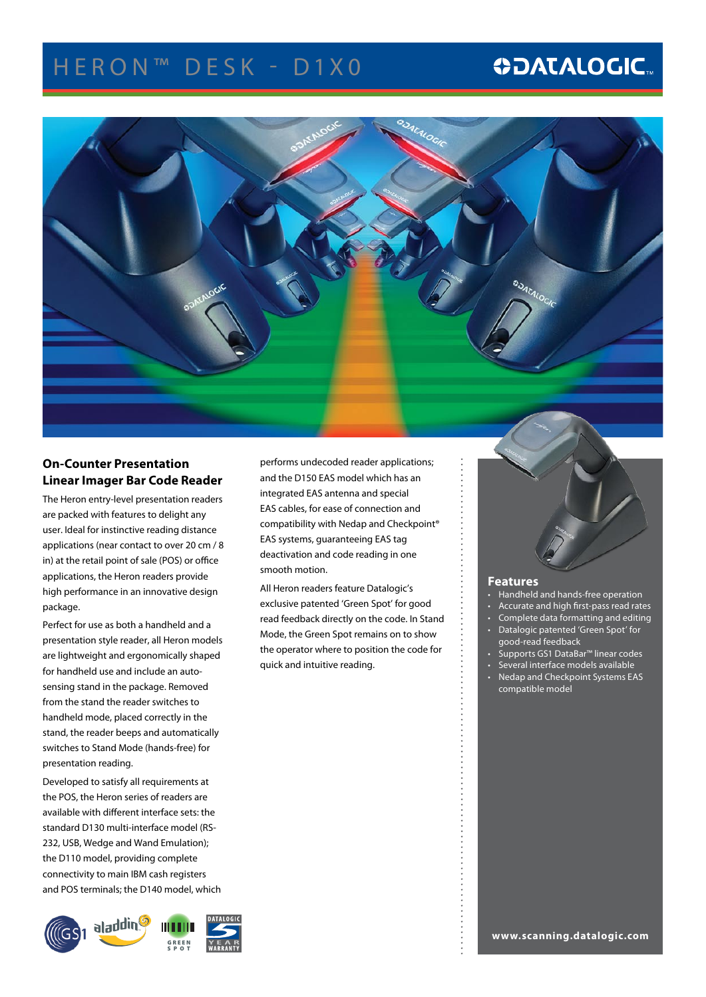## HERON<sup>™</sup> DESK - D1X0

## **ODATALOGIC.**



### **On-Counter Presentation Linear Imager Bar Code Reader**

The Heron entry-level presentation readers are packed with features to delight any user. Ideal for instinctive reading distance applications (near contact to over 20 cm / 8 in) at the retail point of sale (POS) or office applications, the Heron readers provide high performance in an innovative design package.

Perfect for use as both a handheld and a presentation style reader, all Heron models are lightweight and ergonomically shaped for handheld use and include an autosensing stand in the package. Removed from the stand the reader switches to handheld mode, placed correctly in the stand, the reader beeps and automatically switches to Stand Mode (hands-free) for presentation reading.

Developed to satisfy all requirements at the POS, the Heron series of readers are available with different interface sets: the standard D130 multi-interface model (RS-232, USB, Wedge and Wand Emulation); the D110 model, providing complete connectivity to main IBM cash registers and POS terminals; the D140 model, which



performs undecoded reader applications; and the D150 EAS model which has an integrated EAS antenna and special EAS cables, for ease of connection and compatibility with Nedap and Checkpoint® EAS systems, guaranteeing EAS tag deactivation and code reading in one smooth motion.

All Heron readers feature Datalogic's exclusive patented 'Green Spot' for good read feedback directly on the code. In Stand Mode, the Green Spot remains on to show the operator where to position the code for quick and intuitive reading.



#### **Features**

- Handheld and hands-free operation
- Accurate and high first-pass read rates
- Complete data formatting and editing • Datalogic patented 'Green Spot' for
- good-read feedback
- Supports GS1 DataBar<sup>™</sup> linear codes
- Several interface models available
- Nedap and Checkpoint Systems EAS compatible model